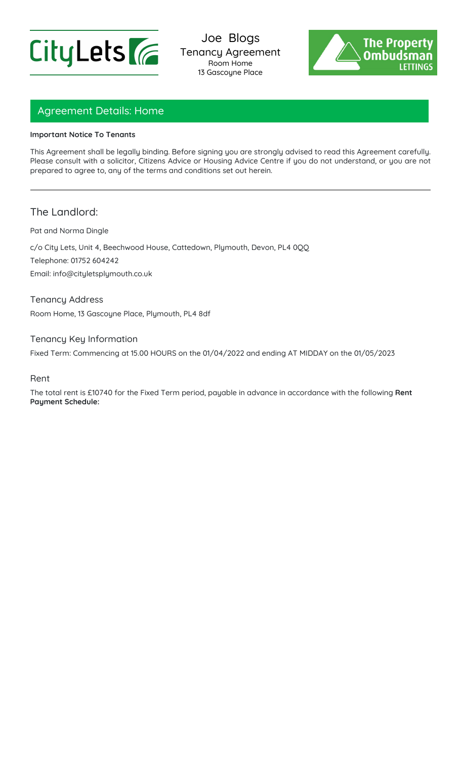



# Agreement Details: Home

#### **Important Notice To Tenants**

This Agreement shall be legally binding. Before signing you are strongly advised to read this Agreement carefully. Please consult with a solicitor, Citizens Advice or Housing Advice Centre if you do not understand, or you are not prepared to agree to, any of the terms and conditions set out herein.

## The Landlord:

Pat and Norma Dingle

c/o City Lets, Unit 4, Beechwood House, Cattedown, Plymouth, Devon, PL4 0QQ Telephone: 01752 604242

Email: info@cityletsplymouth.co.uk

Tenancy Address Room Home, 13 Gascoyne Place, Plymouth, PL4 8df

Tenancy Key Information

Fixed Term: Commencing at 15.00 HOURS on the 01/04/2022 and ending AT MIDDAY on the 01/05/2023

#### Rent

The total rent is £10740 for the Fixed Term period, payable in advance in accordance with the following **Rent Payment Schedule:**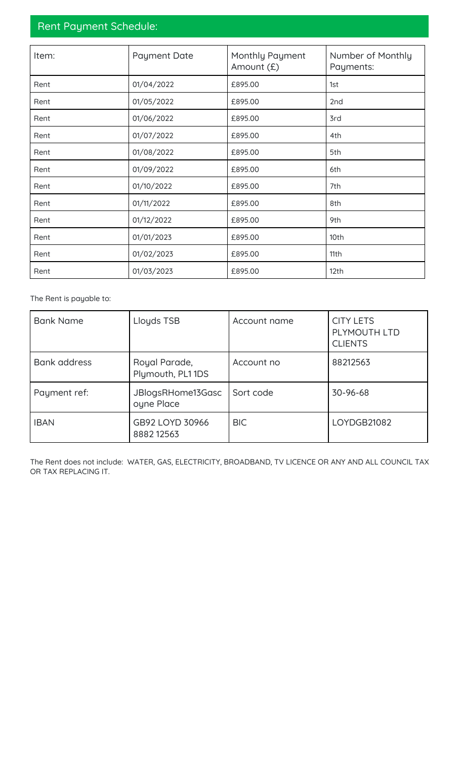# Rent Payment Schedule:

| Item: | <b>Payment Date</b> | Monthly Payment<br>Amount (£) | Number of Monthly<br>Payments: |
|-------|---------------------|-------------------------------|--------------------------------|
| Rent  | 01/04/2022          | £895.00                       | 1st                            |
| Rent  | 01/05/2022          | £895.00                       | 2nd                            |
| Rent  | 01/06/2022          | £895.00                       | 3rd                            |
| Rent  | 01/07/2022          | £895.00                       | 4th                            |
| Rent  | 01/08/2022          | £895.00                       | 5th                            |
| Rent  | 01/09/2022          | £895.00                       | 6th                            |
| Rent  | 01/10/2022          | £895.00                       | 7th                            |
| Rent  | 01/11/2022          | £895.00                       | 8th                            |
| Rent  | 01/12/2022          | £895.00                       | 9th                            |
| Rent  | 01/01/2023          | £895.00                       | 10th                           |
| Rent  | 01/02/2023          | £895.00                       | 11th                           |
| Rent  | 01/03/2023          | £895.00                       | 12th                           |

The Rent is payable to:

| <b>Bank Name</b>    | Lloyds TSB                        | Account name | <b>CITY LETS</b><br>PLYMOUTH LTD<br><b>CLIENTS</b> |
|---------------------|-----------------------------------|--------------|----------------------------------------------------|
| <b>Bank address</b> | Royal Parade,<br>Plymouth, PL11DS | Account no   | 88212563                                           |
| Payment ref:        | JBlogsRHome13Gasc<br>oyne Place   | Sort code    | 30-96-68                                           |
| <b>IBAN</b>         | GB92 LOYD 30966<br>888212563      | <b>BIC</b>   | LOYDGB21082                                        |

The Rent does not include: WATER, GAS, ELECTRICITY, BROADBAND, TV LICENCE OR ANY AND ALL COUNCIL TAX OR TAX REPLACING IT.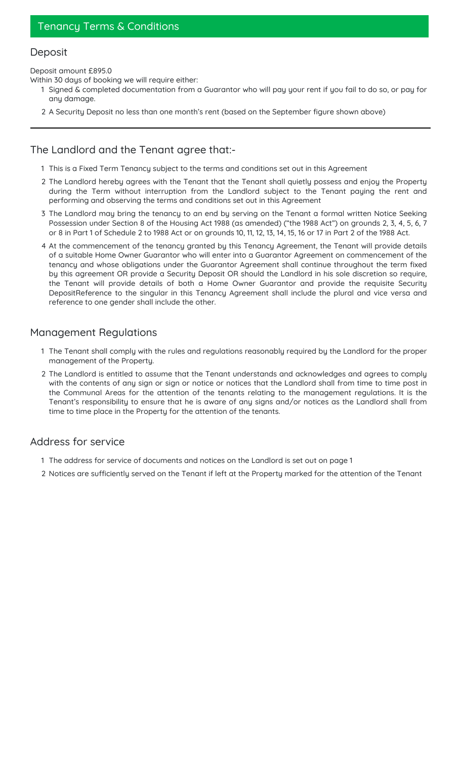# Tenancy Terms & Conditions

# **Deposit**

#### Deposit amount £895.0

Within 30 days of booking we will require either:

- 1 Signed & completed documentation from a Guarantor who will pay your rent if you fail to do so, or pay for any damage.
- 2 A Security Deposit no less than one month's rent (based on the September figure shown above)

## The Landlord and the Tenant agree that:-

- 1 This is a Fixed Term Tenancy subject to the terms and conditions set out in this Agreement
- 2 The Landlord hereby agrees with the Tenant that the Tenant shall quietly possess and enjoy the Property during the Term without interruption from the Landlord subject to the Tenant paying the rent and performing and observing the terms and conditions set out in this Agreement
- 3 The Landlord may bring the tenancy to an end by serving on the Tenant a formal written Notice Seeking Possession under Section 8 of the Housing Act 1988 (as amended) ("the 1988 Act") on grounds 2, 3, 4, 5, 6, 7 or 8 in Part 1 of Schedule 2 to 1988 Act or on grounds 10, 11, 12, 13, 14, 15, 16 or 17 in Part 2 of the 1988 Act.
- 4 At the commencement of the tenancy granted by this Tenancy Agreement, the Tenant will provide details of a suitable Home Owner Guarantor who will enter into a Guarantor Agreement on commencement of the tenancy and whose obligations under the Guarantor Agreement shall continue throughout the term fixed by this agreement OR provide a Security Deposit OR should the Landlord in his sole discretion so require, the Tenant will provide details of both a Home Owner Guarantor and provide the requisite Security DepositReference to the singular in this Tenancy Agreement shall include the plural and vice versa and reference to one gender shall include the other.

#### Management Regulations

- 1 The Tenant shall comply with the rules and regulations reasonably required by the Landlord for the proper management of the Property.
- 2 The Landlord is entitled to assume that the Tenant understands and acknowledges and agrees to comply with the contents of any sign or sign or notice or notices that the Landlord shall from time to time post in the Communal Areas for the attention of the tenants relating to the management regulations. It is the Tenant's responsibility to ensure that he is aware of any signs and/or notices as the Landlord shall from time to time place in the Property for the attention of the tenants.

## Address for service

- 1 The address for service of documents and notices on the Landlord is set out on page 1
- 2 Notices are sufficiently served on the Tenant if left at the Property marked for the attention of the Tenant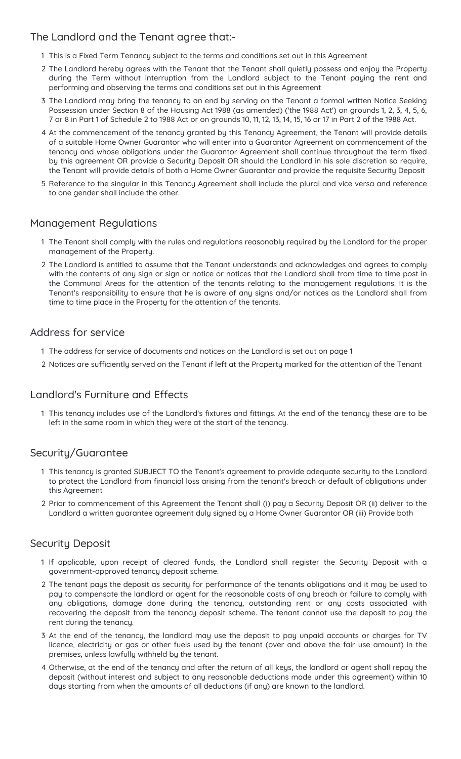## The Landlord and the Tenant agree that:-

- 1 This is a Fixed Term Tenancy subject to the terms and conditions set out in this Agreement
- 2 The Landlord hereby agrees with the Tenant that the Tenant shall quietly possess and enjoy the Property during the Term without interruption from the Landlord subject to the Tenant paying the rent and performing and observing the terms and conditions set out in this Agreement
- 3 The Landlord may bring the tenancy to an end by serving on the Tenant a formal written Notice Seeking Possession under Section 8 of the Housing Act 1988 (as amended) ('the 1988 Act') on grounds 1, 2, 3, 4, 5, 6, 7 or 8 in Part 1 of Schedule 2 to 1988 Act or on grounds 10, 11, 12, 13, 14, 15, 16 or 17 in Part 2 of the 1988 Act.
- 4 At the commencement of the tenancy granted by this Tenancy Agreement, the Tenant will provide details of a suitable Home Owner Guarantor who will enter into a Guarantor Agreement on commencement of the tenancy and whose obligations under the Guarantor Agreement shall continue throughout the term fixed by this agreement OR provide a Security Deposit OR should the Landlord in his sole discretion so require, the Tenant will provide details of both a Home Owner Guarantor and provide the requisite Security Deposit
- 5 Reference to the singular in this Tenancy Agreement shall include the plural and vice versa and reference to one gender shall include the other.

## Management Regulations

- 1 The Tenant shall comply with the rules and regulations reasonably required by the Landlord for the proper management of the Property.
- 2 The Landlord is entitled to assume that the Tenant understands and acknowledges and agrees to comply with the contents of any sign or sign or notice or notices that the Landlord shall from time to time post in the Communal Areas for the attention of the tenants relating to the management regulations. It is the Tenant's responsibility to ensure that he is aware of any signs and/or notices as the Landlord shall from time to time place in the Property for the attention of the tenants.

#### Address for service

- 1 The address for service of documents and notices on the Landlord is set out on page 1
- 2 Notices are sufficiently served on the Tenant if left at the Property marked for the attention of the Tenant

## Landlord's Furniture and Effects

1 This tenancy includes use of the Landlord's fixtures and fittings. At the end of the tenancy these are to be left in the same room in which they were at the start of the tenancy.

## Security/Guarantee

- 1 This tenancy is granted SUBJECT TO the Tenant's agreement to provide adequate security to the Landlord to protect the Landlord from financial loss arising from the tenant's breach or default of obligations under this Agreement
- 2 Prior to commencement of this Agreement the Tenant shall (i) pay a Security Deposit OR (ii) deliver to the Landlord a written guarantee agreement duly signed by a Home Owner Guarantor OR (iii) Provide both

## Security Deposit

- 1 If applicable, upon receipt of cleared funds, the Landlord shall register the Security Deposit with a government-approved tenancy deposit scheme.
- 2 The tenant pays the deposit as security for performance of the tenants obligations and it may be used to pay to compensate the landlord or agent for the reasonable costs of any breach or failure to comply with any obligations, damage done during the tenancy, outstanding rent or any costs associated with recovering the deposit from the tenancy deposit scheme. The tenant cannot use the deposit to pay the rent during the tenancy.
- 3 At the end of the tenancy, the landlord may use the deposit to pay unpaid accounts or charges for TV licence, electricity or gas or other fuels used by the tenant (over and above the fair use amount) in the premises, unless lawfully withheld by the tenant.
- 4 Otherwise, at the end of the tenancy and after the return of all keys, the landlord or agent shall repay the deposit (without interest and subject to any reasonable deductions made under this agreement) within 10 days starting from when the amounts of all deductions (if any) are known to the landlord.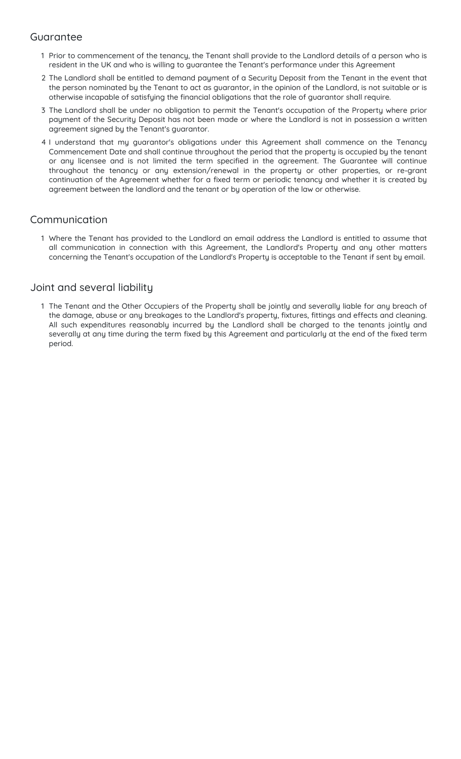## Guarantee

- 1 Prior to commencement of the tenancy, the Tenant shall provide to the Landlord details of a person who is resident in the UK and who is willing to guarantee the Tenant's performance under this Agreement
- 2 The Landlord shall be entitled to demand payment of a Security Deposit from the Tenant in the event that the person nominated by the Tenant to act as guarantor, in the opinion of the Landlord, is not suitable or is otherwise incapable of satisfying the financial obligations that the role of guarantor shall require.
- 3 The Landlord shall be under no obligation to permit the Tenant's occupation of the Property where prior payment of the Security Deposit has not been made or where the Landlord is not in possession a written agreement signed by the Tenant's guarantor.
- 4 I understand that my guarantor's obligations under this Agreement shall commence on the Tenancy Commencement Date and shall continue throughout the period that the property is occupied by the tenant or any licensee and is not limited the term specified in the agreement. The Guarantee will continue throughout the tenancy or any extension/renewal in the property or other properties, or re-grant continuation of the Agreement whether for a fixed term or periodic tenancy and whether it is created by agreement between the landlord and the tenant or by operation of the law or otherwise.

# Communication

1 Where the Tenant has provided to the Landlord an email address the Landlord is entitled to assume that all communication in connection with this Agreement, the Landlord's Property and any other matters concerning the Tenant's occupation of the Landlord's Property is acceptable to the Tenant if sent by email.

## Joint and several liability

1 The Tenant and the Other Occupiers of the Property shall be jointly and severally liable for any breach of the damage, abuse or any breakages to the Landlord's property, fixtures, fittings and effects and cleaning. All such expenditures reasonably incurred by the Landlord shall be charged to the tenants jointly and severally at any time during the term fixed by this Agreement and particularly at the end of the fixed term period.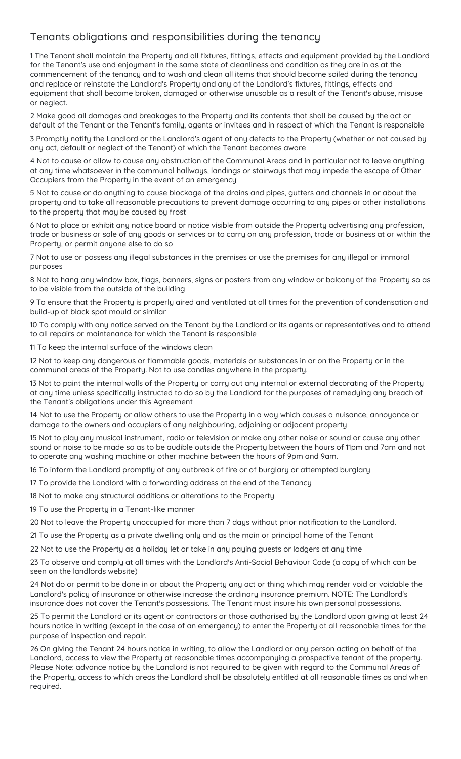# Tenants obligations and responsibilities during the tenancy

1 The Tenant shall maintain the Property and all fixtures, fittings, effects and equipment provided by the Landlord for the Tenant's use and enjoyment in the same state of cleanliness and condition as they are in as at the commencement of the tenancy and to wash and clean all items that should become soiled during the tenancy and replace or reinstate the Landlord's Property and any of the Landlord's fixtures, fittings, effects and equipment that shall become broken, damaged or otherwise unusable as a result of the Tenant's abuse, misuse or neglect.

2 Make good all damages and breakages to the Property and its contents that shall be caused by the act or default of the Tenant or the Tenant's family, agents or invitees and in respect of which the Tenant is responsible

3 Promptly notify the Landlord or the Landlord's agent of any defects to the Property (whether or not caused by any act, default or neglect of the Tenant) of which the Tenant becomes aware

4 Not to cause or allow to cause any obstruction of the Communal Areas and in particular not to leave anything at any time whatsoever in the communal hallways, landings or stairways that may impede the escape of Other Occupiers from the Property in the event of an emergency

5 Not to cause or do anything to cause blockage of the drains and pipes, gutters and channels in or about the property and to take all reasonable precautions to prevent damage occurring to any pipes or other installations to the property that may be caused by frost

6 Not to place or exhibit any notice board or notice visible from outside the Property advertising any profession, trade or business or sale of any goods or services or to carry on any profession, trade or business at or within the Property, or permit anyone else to do so

7 Not to use or possess any illegal substances in the premises or use the premises for any illegal or immoral purposes

8 Not to hang any window box, flags, banners, signs or posters from any window or balcony of the Property so as to be visible from the outside of the building

9 To ensure that the Property is properly aired and ventilated at all times for the prevention of condensation and build-up of black spot mould or similar

10 To comply with any notice served on the Tenant by the Landlord or its agents or representatives and to attend to all repairs or maintenance for which the Tenant is responsible

11 To keep the internal surface of the windows clean

12 Not to keep any dangerous or flammable goods, materials or substances in or on the Property or in the communal areas of the Property. Not to use candles anywhere in the property.

13 Not to paint the internal walls of the Property or carry out any internal or external decorating of the Property at any time unless specifically instructed to do so by the Landlord for the purposes of remedying any breach of the Tenant's obligations under this Agreement

14 Not to use the Property or allow others to use the Property in a way which causes a nuisance, annoyance or damage to the owners and occupiers of any neighbouring, adjoining or adjacent property

15 Not to play any musical instrument, radio or television or make any other noise or sound or cause any other sound or noise to be made so as to be audible outside the Property between the hours of 11pm and 7am and not to operate any washing machine or other machine between the hours of 9pm and 9am.

16 To inform the Landlord promptly of any outbreak of fire or of burglary or attempted burglary

17 To provide the Landlord with a forwarding address at the end of the Tenancy

18 Not to make any structural additions or alterations to the Property

19 To use the Property in a Tenant-like manner

20 Not to leave the Property unoccupied for more than 7 days without prior notification to the Landlord.

21 To use the Property as a private dwelling only and as the main or principal home of the Tenant

22 Not to use the Property as a holiday let or take in any paying guests or lodgers at any time

23 To observe and comply at all times with the Landlord's Anti-Social Behaviour Code (a copy of which can be seen on the landlords website)

24 Not do or permit to be done in or about the Property any act or thing which may render void or voidable the Landlord's policy of insurance or otherwise increase the ordinary insurance premium. NOTE: The Landlord's insurance does not cover the Tenant's possessions. The Tenant must insure his own personal possessions.

25 To permit the Landlord or its agent or contractors or those authorised by the Landlord upon giving at least 24 hours notice in writing (except in the case of an emergency) to enter the Property at all reasonable times for the purpose of inspection and repair.

26 On giving the Tenant 24 hours notice in writing, to allow the Landlord or any person acting on behalf of the Landlord, access to view the Property at reasonable times accompanying a prospective tenant of the property. Please Note: advance notice by the Landlord is not required to be given with regard to the Communal Areas of the Property, access to which areas the Landlord shall be absolutely entitled at all reasonable times as and when required.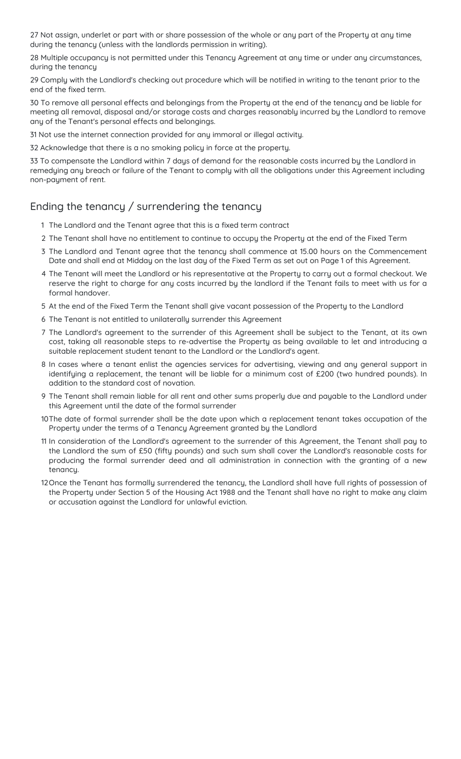27 Not assign, underlet or part with or share possession of the whole or any part of the Property at any time during the tenancy (unless with the landlords permission in writing).

28 Multiple occupancy is not permitted under this Tenancy Agreement at any time or under any circumstances, during the tenancy

29 Comply with the Landlord's checking out procedure which will be notified in writing to the tenant prior to the end of the fixed term.

30 To remove all personal effects and belongings from the Property at the end of the tenancy and be liable for meeting all removal, disposal and/or storage costs and charges reasonably incurred by the Landlord to remove any of the Tenant's personal effects and belongings.

31 Not use the internet connection provided for any immoral or illegal activity.

32 Acknowledge that there is a no smoking policy in force at the property.

33 To compensate the Landlord within 7 days of demand for the reasonable costs incurred by the Landlord in remedying any breach or failure of the Tenant to comply with all the obligations under this Agreement including non-payment of rent.

# Ending the tenancy / surrendering the tenancy

- 1 The Landlord and the Tenant agree that this is a fixed term contract
- 2 The Tenant shall have no entitlement to continue to occupy the Property at the end of the Fixed Term
- 3 The Landlord and Tenant agree that the tenancy shall commence at 15.00 hours on the Commencement Date and shall end at Midday on the last day of the Fixed Term as set out on Page 1 of this Agreement.
- 4 The Tenant will meet the Landlord or his representative at the Property to carry out a formal checkout. We reserve the right to charge for any costs incurred by the landlord if the Tenant fails to meet with us for a formal handover.
- 5 At the end of the Fixed Term the Tenant shall give vacant possession of the Property to the Landlord
- 6 The Tenant is not entitled to unilaterally surrender this Agreement
- 7 The Landlord's agreement to the surrender of this Agreement shall be subject to the Tenant, at its own cost, taking all reasonable steps to re-advertise the Property as being available to let and introducing a suitable replacement student tenant to the Landlord or the Landlord's agent.
- 8 In cases where a tenant enlist the agencies services for advertising, viewing and any general support in identifying a replacement, the tenant will be liable for a minimum cost of £200 (two hundred pounds). In addition to the standard cost of novation.
- 9 The Tenant shall remain liable for all rent and other sums properly due and payable to the Landlord under this Agreement until the date of the formal surrender
- 10The date of formal surrender shall be the date upon which a replacement tenant takes occupation of the Property under the terms of a Tenancy Agreement granted by the Landlord
- 11 In consideration of the Landlord's agreement to the surrender of this Agreement, the Tenant shall pay to the Landlord the sum of £50 (fifty pounds) and such sum shall cover the Landlord's reasonable costs for producing the formal surrender deed and all administration in connection with the granting of a new tenancy.
- 12Once the Tenant has formally surrendered the tenancy, the Landlord shall have full rights of possession of the Property under Section 5 of the Housing Act 1988 and the Tenant shall have no right to make any claim or accusation against the Landlord for unlawful eviction.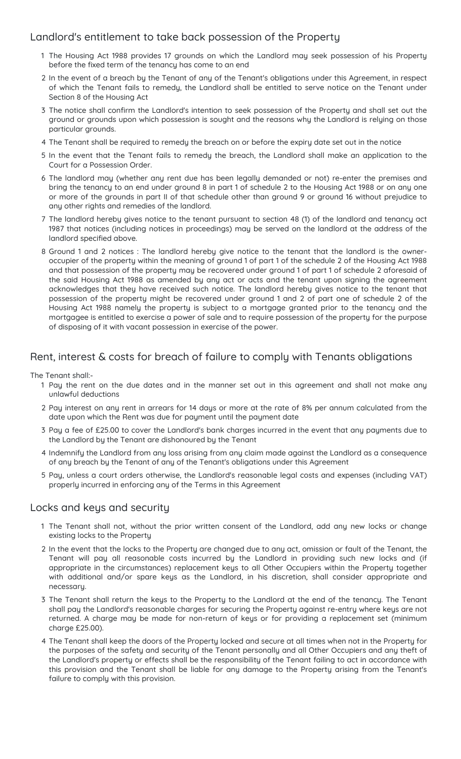#### Landlord's entitlement to take back possession of the Property

- 1 The Housing Act 1988 provides 17 grounds on which the Landlord may seek possession of his Property before the fixed term of the tenancy has come to an end
- 2 In the event of a breach by the Tenant of any of the Tenant's obligations under this Agreement, in respect of which the Tenant fails to remedy, the Landlord shall be entitled to serve notice on the Tenant under Section 8 of the Housing Act
- 3 The notice shall confirm the Landlord's intention to seek possession of the Property and shall set out the ground or grounds upon which possession is sought and the reasons why the Landlord is relying on those particular grounds.
- 4 The Tenant shall be required to remedy the breach on or before the expiry date set out in the notice
- 5 In the event that the Tenant fails to remedy the breach, the Landlord shall make an application to the Court for a Possession Order.
- 6 The landlord may (whether any rent due has been legally demanded or not) re-enter the premises and bring the tenancy to an end under ground 8 in part 1 of schedule 2 to the Housing Act 1988 or on any one or more of the grounds in part II of that schedule other than ground 9 or ground 16 without prejudice to any other rights and remedies of the landlord.
- 7 The landlord hereby gives notice to the tenant pursuant to section 48 (1) of the landlord and tenancy act 1987 that notices (including notices in proceedings) may be served on the landlord at the address of the landlord specified above.
- 8 Ground 1 and 2 notices : The landlord hereby give notice to the tenant that the landlord is the owneroccupier of the property within the meaning of ground 1 of part 1 of the schedule 2 of the Housing Act 1988 and that possession of the property may be recovered under ground 1 of part 1 of schedule 2 aforesaid of the said Housing Act 1988 as amended by any act or acts and the tenant upon signing the agreement acknowledges that they have received such notice. The landlord hereby gives notice to the tenant that possession of the property might be recovered under ground 1 and 2 of part one of schedule 2 of the Housing Act 1988 namely the property is subject to a mortgage granted prior to the tenancy and the mortgagee is entitled to exercise a power of sale and to require possession of the property for the purpose of disposing of it with vacant possession in exercise of the power.

## Rent, interest & costs for breach of failure to comply with Tenants obligations

The Tenant shall:-

- 1 Pay the rent on the due dates and in the manner set out in this agreement and shall not make any unlawful deductions
- 2 Pay interest on any rent in arrears for 14 days or more at the rate of 8% per annum calculated from the date upon which the Rent was due for payment until the payment date
- 3 Pay a fee of £25.00 to cover the Landlord's bank charges incurred in the event that any payments due to the Landlord by the Tenant are dishonoured by the Tenant
- 4 Indemnify the Landlord from any loss arising from any claim made against the Landlord as a consequence of any breach by the Tenant of any of the Tenant's obligations under this Agreement
- 5 Pay, unless a court orders otherwise, the Landlord's reasonable legal costs and expenses (including VAT) properly incurred in enforcing any of the Terms in this Agreement

#### Locks and keys and security

- 1 The Tenant shall not, without the prior written consent of the Landlord, add any new locks or change existing locks to the Property
- 2 In the event that the locks to the Property are changed due to any act, omission or fault of the Tenant, the Tenant will pay all reasonable costs incurred by the Landlord in providing such new locks and (if appropriate in the circumstances) replacement keys to all Other Occupiers within the Property together with additional and/or spare keys as the Landlord, in his discretion, shall consider appropriate and necessary.
- 3 The Tenant shall return the keys to the Property to the Landlord at the end of the tenancy. The Tenant shall pay the Landlord's reasonable charges for securing the Property against re-entry where keys are not returned. A charge may be made for non-return of keys or for providing a replacement set (minimum charge £25.00).
- 4 The Tenant shall keep the doors of the Property locked and secure at all times when not in the Property for the purposes of the safety and security of the Tenant personally and all Other Occupiers and any theft of the Landlord's property or effects shall be the responsibility of the Tenant failing to act in accordance with this provision and the Tenant shall be liable for any damage to the Property arising from the Tenant's failure to comply with this provision.